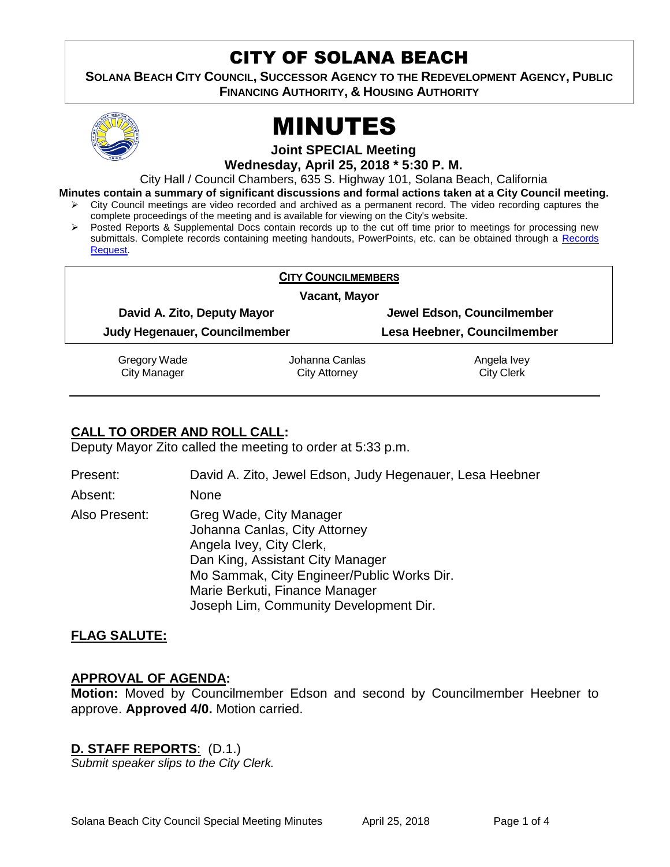# CITY OF SOLANA BEACH

**SOLANA BEACH CITY COUNCIL, SUCCESSOR AGENCY TO THE REDEVELOPMENT AGENCY, PUBLIC FINANCING AUTHORITY, & HOUSING AUTHORITY** 



# MINUTES

**Joint SPECIAL Meeting**

**Wednesday, April 25, 2018 \* 5:30 P. M.**

City Hall / Council Chambers, 635 S. Highway 101, Solana Beach, California

**Minutes contain a summary of significant discussions and formal actions taken at a City Council meeting.**

- City Council meetings are video recorded and archived as a permanent record. The video recording captures the complete proceedings of the meeting and is available for viewing on the City's website.
- Posted Reports & Supplemental Docs contain records up to the cut off time prior to meetings for processing new submittals. Complete records containing meeting handouts, PowerPoints, etc. can be obtained through a [Records](http://www.ci.solana-beach.ca.us/index.asp?SEC=F5D45D10-70CE-4291-A27C-7BD633FC6742&Type=B_BASIC)  [Request.](http://www.ci.solana-beach.ca.us/index.asp?SEC=F5D45D10-70CE-4291-A27C-7BD633FC6742&Type=B_BASIC)

| <b>CITY COUNCILMEMBERS</b>          |                                        |                                  |  |
|-------------------------------------|----------------------------------------|----------------------------------|--|
|                                     | Vacant, Mayor                          |                                  |  |
| David A. Zito, Deputy Mayor         |                                        | Jewel Edson, Councilmember       |  |
| Judy Hegenauer, Councilmember       |                                        | Lesa Heebner, Councilmember      |  |
| Gregory Wade<br><b>City Manager</b> | Johanna Canlas<br><b>City Attorney</b> | Angela Ivey<br><b>City Clerk</b> |  |

## **CALL TO ORDER AND ROLL CALL:**

Deputy Mayor Zito called the meeting to order at 5:33 p.m.

Present: David A. Zito, Jewel Edson, Judy Hegenauer, Lesa Heebner Absent: None Also Present: Greg Wade, City Manager Johanna Canlas, City Attorney Angela Ivey, City Clerk, Dan King, Assistant City Manager Mo Sammak, City Engineer/Public Works Dir. Marie Berkuti, Finance Manager

Joseph Lim, Community Development Dir.

#### **FLAG SALUTE:**

#### **APPROVAL OF AGENDA:**

**Motion:** Moved by Councilmember Edson and second by Councilmember Heebner to approve. **Approved 4/0.** Motion carried.

#### **D. STAFF REPORTS**: (D.1.)

*Submit speaker slips to the City Clerk.*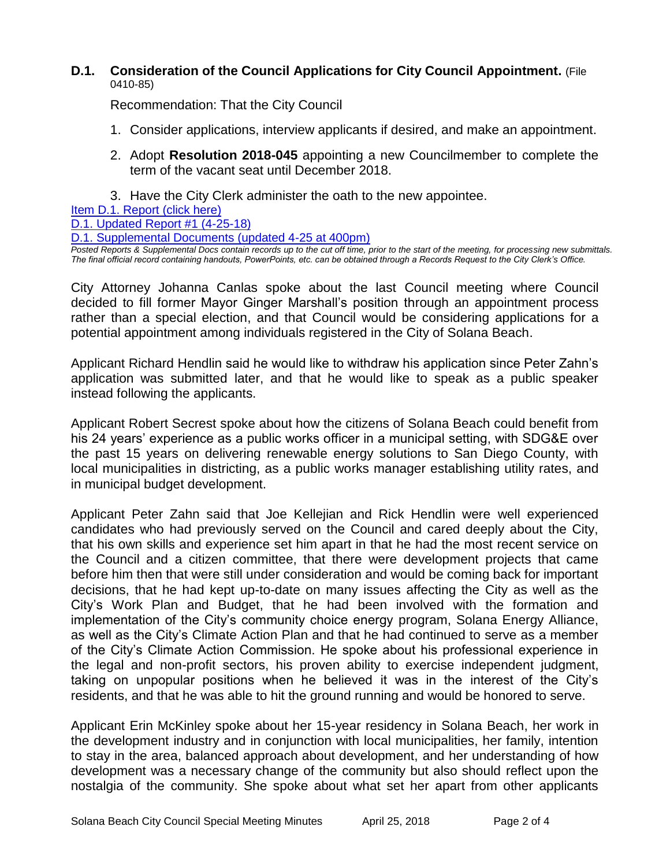#### **D.1. Consideration of the Council Applications for City Council Appointment.** (File 0410-85)

Recommendation: That the City Council

- 1. Consider applications, interview applicants if desired, and make an appointment.
- 2. Adopt **Resolution 2018-045** appointing a new Councilmember to complete the term of the vacant seat until December 2018.
- 3. Have the City Clerk administer the oath to the new appointee.

[Item D.1. Report \(click here\)](https://solanabeach.govoffice3.com/vertical/Sites/%7B840804C2-F869-4904-9AE3-720581350CE7%7D/uploads/Item_D.1._Report_(click_here)_4-25-18.PDF) 

[D.1. Updated Report #1 \(4-25-18\)](https://solanabeach.govoffice3.com/vertical/Sites/%7B840804C2-F869-4904-9AE3-720581350CE7%7D/uploads/D.1._Staff_Report_Update_1.pdf)

```
D.1. Supplemental Documents (updated 4-25 at 400pm)
```
*Posted Reports & Supplemental Docs contain records up to the cut off time, prior to the start of the meeting, for processing new submittals. The final official record containing handouts, PowerPoints, etc. can be obtained through a Records Request to the City Clerk's Office.*

City Attorney Johanna Canlas spoke about the last Council meeting where Council decided to fill former Mayor Ginger Marshall's position through an appointment process rather than a special election, and that Council would be considering applications for a potential appointment among individuals registered in the City of Solana Beach.

Applicant Richard Hendlin said he would like to withdraw his application since Peter Zahn's application was submitted later, and that he would like to speak as a public speaker instead following the applicants.

Applicant Robert Secrest spoke about how the citizens of Solana Beach could benefit from his 24 years' experience as a public works officer in a municipal setting, with SDG&E over the past 15 years on delivering renewable energy solutions to San Diego County, with local municipalities in districting, as a public works manager establishing utility rates, and in municipal budget development.

Applicant Peter Zahn said that Joe Kellejian and Rick Hendlin were well experienced candidates who had previously served on the Council and cared deeply about the City, that his own skills and experience set him apart in that he had the most recent service on the Council and a citizen committee, that there were development projects that came before him then that were still under consideration and would be coming back for important decisions, that he had kept up-to-date on many issues affecting the City as well as the City's Work Plan and Budget, that he had been involved with the formation and implementation of the City's community choice energy program, Solana Energy Alliance, as well as the City's Climate Action Plan and that he had continued to serve as a member of the City's Climate Action Commission. He spoke about his professional experience in the legal and non-profit sectors, his proven ability to exercise independent judgment, taking on unpopular positions when he believed it was in the interest of the City's residents, and that he was able to hit the ground running and would be honored to serve.

Applicant Erin McKinley spoke about her 15-year residency in Solana Beach, her work in the development industry and in conjunction with local municipalities, her family, intention to stay in the area, balanced approach about development, and her understanding of how development was a necessary change of the community but also should reflect upon the nostalgia of the community. She spoke about what set her apart from other applicants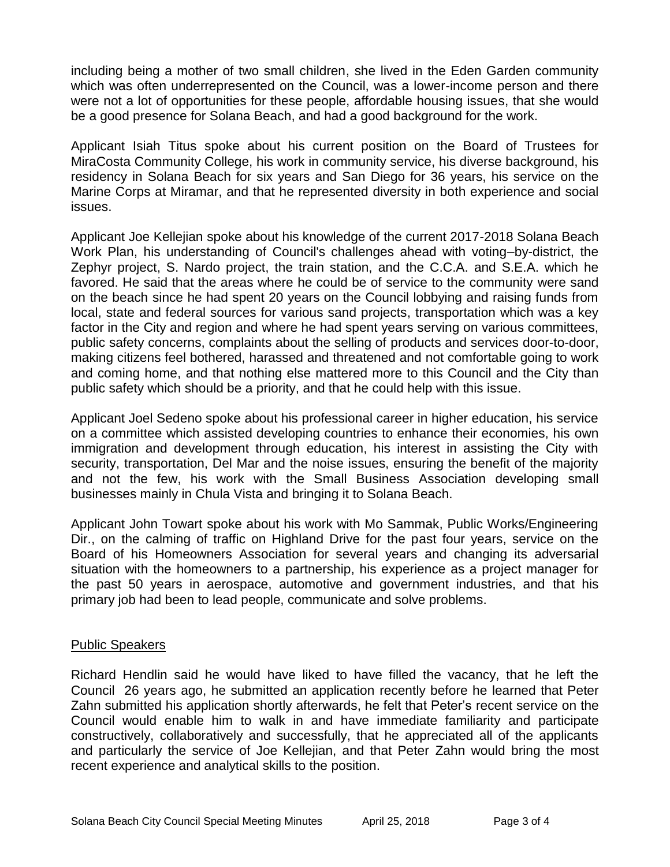including being a mother of two small children, she lived in the Eden Garden community which was often underrepresented on the Council, was a lower-income person and there were not a lot of opportunities for these people, affordable housing issues, that she would be a good presence for Solana Beach, and had a good background for the work.

Applicant Isiah Titus spoke about his current position on the Board of Trustees for MiraCosta Community College, his work in community service, his diverse background, his residency in Solana Beach for six years and San Diego for 36 years, his service on the Marine Corps at Miramar, and that he represented diversity in both experience and social issues.

Applicant Joe Kellejian spoke about his knowledge of the current 2017-2018 Solana Beach Work Plan, his understanding of Council's challenges ahead with voting–by-district, the Zephyr project, S. Nardo project, the train station, and the C.C.A. and S.E.A. which he favored. He said that the areas where he could be of service to the community were sand on the beach since he had spent 20 years on the Council lobbying and raising funds from local, state and federal sources for various sand projects, transportation which was a key factor in the City and region and where he had spent years serving on various committees, public safety concerns, complaints about the selling of products and services door-to-door, making citizens feel bothered, harassed and threatened and not comfortable going to work and coming home, and that nothing else mattered more to this Council and the City than public safety which should be a priority, and that he could help with this issue.

Applicant Joel Sedeno spoke about his professional career in higher education, his service on a committee which assisted developing countries to enhance their economies, his own immigration and development through education, his interest in assisting the City with security, transportation, Del Mar and the noise issues, ensuring the benefit of the majority and not the few, his work with the Small Business Association developing small businesses mainly in Chula Vista and bringing it to Solana Beach.

Applicant John Towart spoke about his work with Mo Sammak, Public Works/Engineering Dir., on the calming of traffic on Highland Drive for the past four years, service on the Board of his Homeowners Association for several years and changing its adversarial situation with the homeowners to a partnership, his experience as a project manager for the past 50 years in aerospace, automotive and government industries, and that his primary job had been to lead people, communicate and solve problems.

#### Public Speakers

Richard Hendlin said he would have liked to have filled the vacancy, that he left the Council 26 years ago, he submitted an application recently before he learned that Peter Zahn submitted his application shortly afterwards, he felt that Peter's recent service on the Council would enable him to walk in and have immediate familiarity and participate constructively, collaboratively and successfully, that he appreciated all of the applicants and particularly the service of Joe Kellejian, and that Peter Zahn would bring the most recent experience and analytical skills to the position.